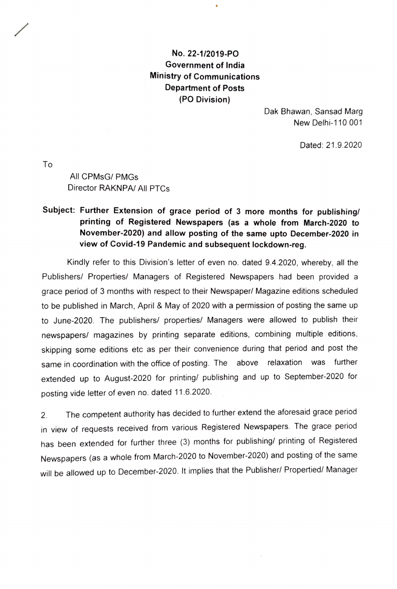## No. 22-1/2019-PO Government of India Ministry of Communications Department of Posts (PO Division)

Dak Bhawan, Sansad Marg New Delhi-110 001

Dated: 21.9.2020

To

All CPMsG/ PMGs Director RAKNPA/ All PTCs

## Subject: Further Extension of grace period of 3 more months for publishing/ printing of Registered Newspapers (as a whole from March-2020 to November-2020) and allow posting of the same upto December-2020 in view of Covid-19 Pandemic and subsequent lockdown-reg.

Kindly refer to this Division's letter of even no. dated 9.4.2020, whereby, all the Publishers/ Properties/ Managers of Registered Newspapers had been provided a grace period of 3 months with respect to their Newspaper/ Magazine editions scheduled to be published in March, April & May of 2020 with a permission of posting the same up to June-2020. The publishers/ properties/ Managers were allowed to publish their newspapers/ magazines by printing separate editions, combining multiple editions skipping some editions etc as per their convenience during that period and post the same in coordination with the office of posting. The above relaxation was further extended up to August-2020 for printing/ publishing and up to September-2020 for posting vide letter of even no. dated 11.6.2020.

2. The competent authority has decided to further extend the aforesaid grace period in view of requests received from various Registered Newspapers. The grace period has been extended for further three (3) months for publishing/ printing of Registered Newspapers (as a whole from March-2020 to November-2020) and posting of the same will be allowed up to December-2020. It implies that the Publisher/ Propertied/ Manager